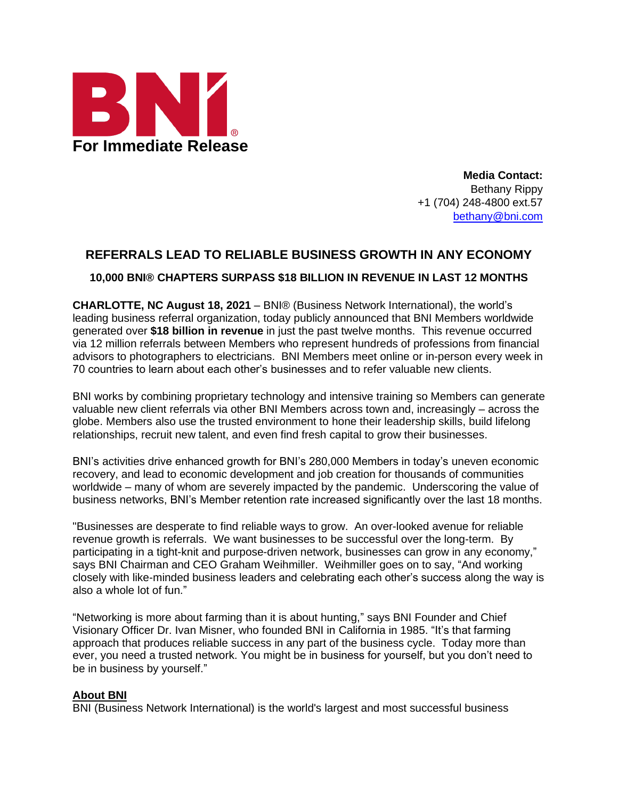

**Media Contact:** Bethany Rippy +1 (704) 248-4800 ext.57 [bethany@bni.com](mailto:bethany@bni.com)

## **REFERRALS LEAD TO RELIABLE BUSINESS GROWTH IN ANY ECONOMY**

**10,000 BNI® CHAPTERS SURPASS \$18 BILLION IN REVENUE IN LAST 12 MONTHS**

**CHARLOTTE, NC August 18, 2021** – BNI® (Business Network International), the world's leading business referral organization, today publicly announced that BNI Members worldwide generated over **\$18 billion in revenue** in just the past twelve months. This revenue occurred via 12 million referrals between Members who represent hundreds of professions from financial advisors to photographers to electricians. BNI Members meet online or in-person every week in 70 countries to learn about each other's businesses and to refer valuable new clients.

BNI works by combining proprietary technology and intensive training so Members can generate valuable new client referrals via other BNI Members across town and, increasingly – across the globe. Members also use the trusted environment to hone their leadership skills, build lifelong relationships, recruit new talent, and even find fresh capital to grow their businesses.

BNI's activities drive enhanced growth for BNI's 280,000 Members in today's uneven economic recovery, and lead to economic development and job creation for thousands of communities worldwide – many of whom are severely impacted by the pandemic. Underscoring the value of business networks, BNI's Member retention rate increased significantly over the last 18 months.

"Businesses are desperate to find reliable ways to grow. An over-looked avenue for reliable revenue growth is referrals. We want businesses to be successful over the long-term. By participating in a tight-knit and purpose-driven network, businesses can grow in any economy," says BNI Chairman and CEO Graham Weihmiller. Weihmiller goes on to say, "And working closely with like-minded business leaders and celebrating each other's success along the way is also a whole lot of fun."

"Networking is more about farming than it is about hunting," says BNI Founder and Chief Visionary Officer Dr. Ivan Misner, who founded BNI in California in 1985. "It's that farming approach that produces reliable success in any part of the business cycle. Today more than ever, you need a trusted network. You might be in business for yourself, but you don't need to be in business by yourself."

## **About BNI**

BNI (Business Network International) is the world's largest and most successful business